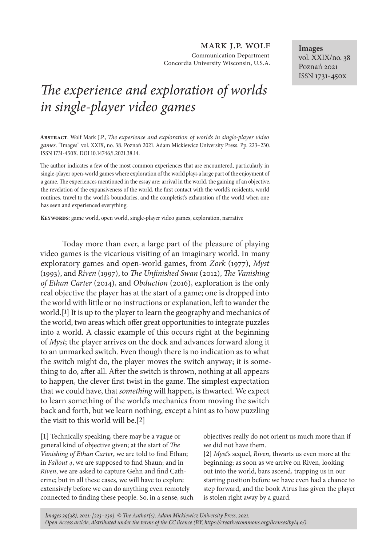mark j.p. wolf Communication Department Concordia University Wisconsin, U.S.A.

## *The experience and exploration of worlds in single-player video games*

**Abstract**. Wolf Mark J.P., *The experience and exploration of worlds in single-player video games*. "Images" vol. XXIX, no. 38. Poznań 2021. Adam Mickiewicz University Press. Pp. 223–230. ISSN 1731-450X. DOI 10.14746/i.2021.38.14.

The author indicates a few of the most common experiences that are encountered, particularly in single-player open-world games where exploration of the world plays a large part of the enjoyment of a game. The experiences mentioned in the essay are: arrival in the world, the gaining of an objective, the revelation of the expansiveness of the world, the first contact with the world's residents, world routines, travel to the world's boundaries, and the completist's exhaustion of the world when one has seen and experienced everything.

**Keywords**: game world, open world, single-player video games, exploration, narrative

Today more than ever, a large part of the pleasure of playing video games is the vicarious visiting of an imaginary world. In many exploratory games and open-world games, from *Zork* (1977), *Myst* (1993), and *Riven* (1997), to *The Unfinished Swan* (2012), *The Vanishing of Ethan Carter* (2014), and *Obduction* (2016), exploration is the only real objective the player has at the start of a game; one is dropped into the world with little or no instructions or explanation, left to wander the world.[**1**] It is up to the player to learn the geography and mechanics of the world, two areas which offer great opportunities to integrate puzzles into a world. A classic example of this occurs right at the beginning of *Myst*; the player arrives on the dock and advances forward along it to an unmarked switch. Even though there is no indication as to what the switch might do, the player moves the switch anyway; it is something to do, after all. After the switch is thrown, nothing at all appears to happen, the clever first twist in the game. The simplest expectation that we could have, that *something* will happen, is thwarted. We expect to learn something of the world's mechanics from moving the switch back and forth, but we learn nothing, except a hint as to how puzzling the visit to this world will be.[**2**]

**[1]** Technically speaking, there may be a vague or general kind of objective given; at the start of *The Vanishing of Ethan Carter*, we are told to find Ethan; in *Fallout 4*, we are supposed to find Shaun; and in *Riven*, we are asked to capture Gehn and find Catherine; but in all these cases, we will have to explore extensively before we can do anything even remotely connected to finding these people. So, in a sense, such objectives really do not orient us much more than if we did not have them.

**[2]** *Myst*'s sequel, *Riven*, thwarts us even more at the beginning; as soon as we arrive on Riven, looking out into the world, bars ascend, trapping us in our starting position before we have even had a chance to step forward, and the book Atrus has given the player is stolen right away by a guard.

*Images 29(38), 2021: [223–230]. © The Author(s), Adam Mickiewicz University Press, 2021. Open Access article, distributed under the terms of the CC licence (BY, https://creativecommons.org/licenses/by/4.0/).*

**Images** vol. XXIX/no. 38 Poznań 2021 ISSN 1731-450x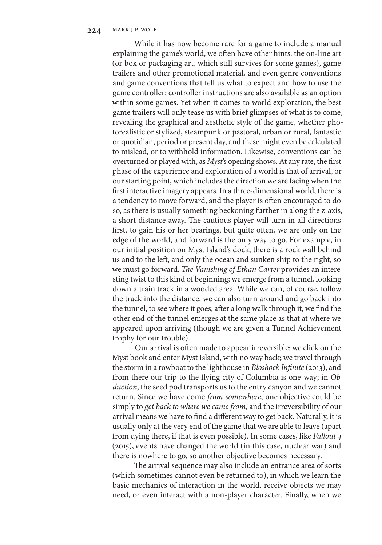While it has now become rare for a game to include a manual explaining the game's world, we often have other hints: the on-line art (or box or packaging art, which still survives for some games), game trailers and other promotional material, and even genre conventions and game conventions that tell us what to expect and how to use the game controller; controller instructions are also available as an option within some games. Yet when it comes to world exploration, the best game trailers will only tease us with brief glimpses of what is to come, revealing the graphical and aesthetic style of the game, whether photorealistic or stylized, steampunk or pastoral, urban or rural, fantastic or quotidian, period or present day, and these might even be calculated to mislead, or to withhold information. Likewise, conventions can be overturned or played with, as *Myst*'s opening shows. At any rate, the first phase of the experience and exploration of a world is that of arrival, or our starting point, which includes the direction we are facing when the first interactive imagery appears. In a three-dimensional world, there is a tendency to move forward, and the player is often encouraged to do so, as there is usually something beckoning further in along the z-axis, a short distance away. The cautious player will turn in all directions first, to gain his or her bearings, but quite often, we are only on the edge of the world, and forward is the only way to go. For example, in our initial position on Myst Island's dock, there is a rock wall behind us and to the left, and only the ocean and sunken ship to the right, so we must go forward. *The Vanishing of Ethan Carter* provides an interesting twist to this kind of beginning; we emerge from a tunnel, looking down a train track in a wooded area. While we can, of course, follow the track into the distance, we can also turn around and go back into the tunnel, to see where it goes; after a long walk through it, we find the other end of the tunnel emerges at the same place as that at where we appeared upon arriving (though we are given a Tunnel Achievement trophy for our trouble).

Our arrival is often made to appear irreversible: we click on the Myst book and enter Myst Island, with no way back; we travel through the storm in a rowboat to the lighthouse in *Bioshock Infinite* (2013), and from there our trip to the flying city of Columbia is one-way; in *Obduction*, the seed pod transports us to the entry canyon and we cannot return. Since we have come *from somewhere*, one objective could be simply to *get back to where we came from*, and the irreversibility of our arrival means we have to find a different way to get back. Naturally, it is usually only at the very end of the game that we are able to leave (apart from dying there, if that is even possible). In some cases, like *Fallout 4* (2015), events have changed the world (in this case, nuclear war) and there is nowhere to go, so another objective becomes necessary.

The arrival sequence may also include an entrance area of sorts (which sometimes cannot even be returned to), in which we learn the basic mechanics of interaction in the world, receive objects we may need, or even interact with a non-player character. Finally, when we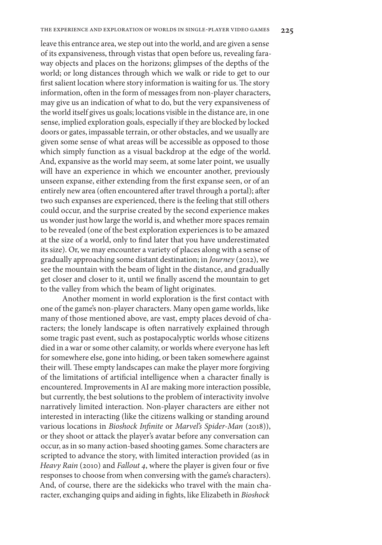leave this entrance area, we step out into the world, and are given a sense of its expansiveness, through vistas that open before us, revealing faraway objects and places on the horizons; glimpses of the depths of the world; or long distances through which we walk or ride to get to our first salient location where story information is waiting for us. The story information, often in the form of messages from non-player characters, may give us an indication of what to do, but the very expansiveness of the world itself gives us goals; locations visible in the distance are, in one sense, implied exploration goals, especially if they are blocked by locked doors or gates, impassable terrain, or other obstacles, and we usually are given some sense of what areas will be accessible as opposed to those which simply function as a visual backdrop at the edge of the world. And, expansive as the world may seem, at some later point, we usually will have an experience in which we encounter another, previously unseen expanse, either extending from the first expanse seen, or of an entirely new area (often encountered after travel through a portal); after two such expanses are experienced, there is the feeling that still others could occur, and the surprise created by the second experience makes us wonder just how large the world is, and whether more spaces remain to be revealed (one of the best exploration experiences is to be amazed at the size of a world, only to find later that you have underestimated its size). Or, we may encounter a variety of places along with a sense of gradually approaching some distant destination; in *Journey* (2012), we see the mountain with the beam of light in the distance, and gradually get closer and closer to it, until we finally ascend the mountain to get to the valley from which the beam of light originates.

Another moment in world exploration is the first contact with one of the game's non-player characters. Many open game worlds, like many of those mentioned above, are vast, empty places devoid of characters; the lonely landscape is often narratively explained through some tragic past event, such as postapocalyptic worlds whose citizens died in a war or some other calamity, or worlds where everyone has left for somewhere else, gone into hiding, or been taken somewhere against their will. These empty landscapes can make the player more forgiving of the limitations of artificial intelligence when a character finally is encountered. Improvements in AI are making more interaction possible, but currently, the best solutions to the problem of interactivity involve narratively limited interaction. Non-player characters are either not interested in interacting (like the citizens walking or standing around various locations in *Bioshock Infinite* or *Marvel's Spider-Man* (2018)), or they shoot or attack the player's avatar before any conversation can occur, as in so many action-based shooting games. Some characters are scripted to advance the story, with limited interaction provided (as in *Heavy Rain* (2010) and *Fallout 4*, where the player is given four or five responses to choose from when conversing with the game's characters). And, of course, there are the sidekicks who travel with the main character, exchanging quips and aiding in fights, like Elizabeth in *Bioshock*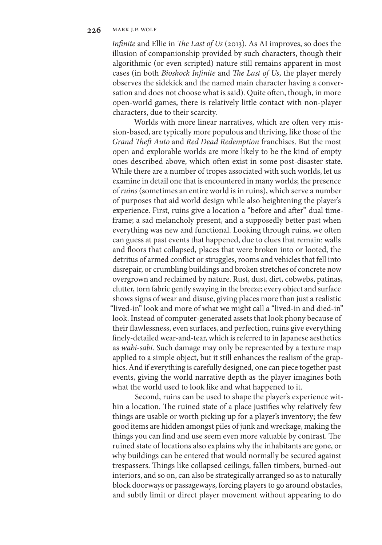*Infinite* and Ellie in *The Last of Us* (2013). As AI improves, so does the illusion of companionship provided by such characters, though their algorithmic (or even scripted) nature still remains apparent in most cases (in both *Bioshock Infinite* and *The Last of Us*, the player merely observes the sidekick and the named main character having a conversation and does not choose what is said). Quite often, though, in more open-world games, there is relatively little contact with non-player characters, due to their scarcity.

Worlds with more linear narratives, which are often very mission-based, are typically more populous and thriving, like those of the *Grand Theft Auto* and *Red Dead Redemption* franchises. But the most open and explorable worlds are more likely to be the kind of empty ones described above, which often exist in some post-disaster state. While there are a number of tropes associated with such worlds, let us examine in detail one that is encountered in many worlds; the presence of *ruins* (sometimes an entire world is in ruins), which serve a number of purposes that aid world design while also heightening the player's experience. First, ruins give a location a "before and after" dual timeframe; a sad melancholy present, and a supposedly better past when everything was new and functional. Looking through ruins, we often can guess at past events that happened, due to clues that remain: walls and floors that collapsed, places that were broken into or looted, the detritus of armed conflict or struggles, rooms and vehicles that fell into disrepair, or crumbling buildings and broken stretches of concrete now overgrown and reclaimed by nature. Rust, dust, dirt, cobwebs, patinas, clutter, torn fabric gently swaying in the breeze; every object and surface shows signs of wear and disuse, giving places more than just a realistic "lived-in" look and more of what we might call a "lived-in and died-in" look. Instead of computer-generated assets that look phony because of their flawlessness, even surfaces, and perfection, ruins give everything finely-detailed wear-and-tear, which is referred to in Japanese aesthetics as *wabi-sabi*. Such damage may only be represented by a texture map applied to a simple object, but it still enhances the realism of the graphics. And if everything is carefully designed, one can piece together past events, giving the world narrative depth as the player imagines both what the world used to look like and what happened to it.

Second, ruins can be used to shape the player's experience within a location. The ruined state of a place justifies why relatively few things are usable or worth picking up for a player's inventory; the few good items are hidden amongst piles of junk and wreckage, making the things you can find and use seem even more valuable by contrast. The ruined state of locations also explains why the inhabitants are gone, or why buildings can be entered that would normally be secured against trespassers. Things like collapsed ceilings, fallen timbers, burned-out interiors, and so on, can also be strategically arranged so as to naturally block doorways or passageways, forcing players to go around obstacles, and subtly limit or direct player movement without appearing to do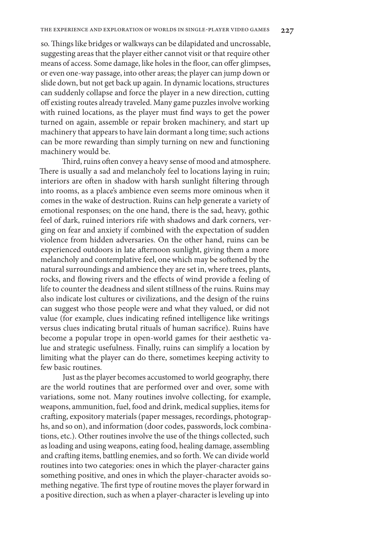so. Things like bridges or walkways can be dilapidated and uncrossable, suggesting areas that the player either cannot visit or that require other means of access. Some damage, like holes in the floor, can offer glimpses, or even one-way passage, into other areas; the player can jump down or slide down, but not get back up again. In dynamic locations, structures can suddenly collapse and force the player in a new direction, cutting off existing routes already traveled. Many game puzzles involve working with ruined locations, as the player must find ways to get the power turned on again, assemble or repair broken machinery, and start up machinery that appears to have lain dormant a long time; such actions can be more rewarding than simply turning on new and functioning machinery would be.

Third, ruins often convey a heavy sense of mood and atmosphere. There is usually a sad and melancholy feel to locations laying in ruin; interiors are often in shadow with harsh sunlight filtering through into rooms, as a place's ambience even seems more ominous when it comes in the wake of destruction. Ruins can help generate a variety of emotional responses; on the one hand, there is the sad, heavy, gothic feel of dark, ruined interiors rife with shadows and dark corners, verging on fear and anxiety if combined with the expectation of sudden violence from hidden adversaries. On the other hand, ruins can be experienced outdoors in late afternoon sunlight, giving them a more melancholy and contemplative feel, one which may be softened by the natural surroundings and ambience they are set in, where trees, plants, rocks, and flowing rivers and the effects of wind provide a feeling of life to counter the deadness and silent stillness of the ruins. Ruins may also indicate lost cultures or civilizations, and the design of the ruins can suggest who those people were and what they valued, or did not value (for example, clues indicating refined intelligence like writings versus clues indicating brutal rituals of human sacrifice). Ruins have become a popular trope in open-world games for their aesthetic value and strategic usefulness. Finally, ruins can simplify a location by limiting what the player can do there, sometimes keeping activity to few basic routines.

Just as the player becomes accustomed to world geography, there are the world routines that are performed over and over, some with variations, some not. Many routines involve collecting, for example, weapons, ammunition, fuel, food and drink, medical supplies, items for crafting, expository materials (paper messages, recordings, photographs, and so on), and information (door codes, passwords, lock combinations, etc.). Other routines involve the use of the things collected, such as loading and using weapons, eating food, healing damage, assembling and crafting items, battling enemies, and so forth. We can divide world routines into two categories: ones in which the player-character gains something positive, and ones in which the player-character avoids something negative. The first type of routine moves the player forward in a positive direction, such as when a player-character is leveling up into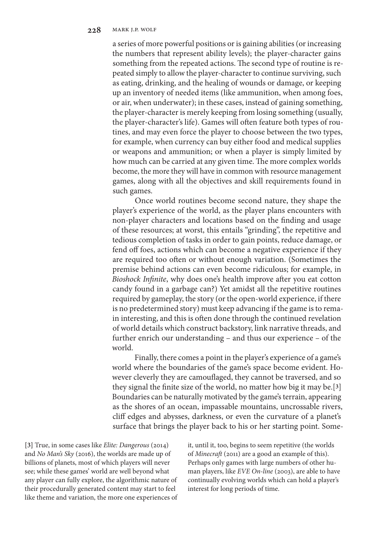a series of more powerful positions or is gaining abilities (or increasing the numbers that represent ability levels); the player-character gains something from the repeated actions. The second type of routine is repeated simply to allow the player-character to continue surviving, such as eating, drinking, and the healing of wounds or damage, or keeping up an inventory of needed items (like ammunition, when among foes, or air, when underwater); in these cases, instead of gaining something, the player-character is merely keeping from losing something (usually, the player-character's life). Games will often feature both types of routines, and may even force the player to choose between the two types, for example, when currency can buy either food and medical supplies or weapons and ammunition; or when a player is simply limited by how much can be carried at any given time. The more complex worlds become, the more they will have in common with resource management games, along with all the objectives and skill requirements found in such games.

Once world routines become second nature, they shape the player's experience of the world, as the player plans encounters with non-player characters and locations based on the finding and usage of these resources; at worst, this entails "grinding", the repetitive and tedious completion of tasks in order to gain points, reduce damage, or fend off foes, actions which can become a negative experience if they are required too often or without enough variation. (Sometimes the premise behind actions can even become ridiculous; for example, in *Bioshock Infinite*, why does one's health improve after you eat cotton candy found in a garbage can?) Yet amidst all the repetitive routines required by gameplay, the story (or the open-world experience, if there is no predetermined story) must keep advancing if the game is to remain interesting, and this is often done through the continued revelation of world details which construct backstory, link narrative threads, and further enrich our understanding – and thus our experience – of the world.

Finally, there comes a point in the player's experience of a game's world where the boundaries of the game's space become evident. However cleverly they are camouflaged, they cannot be traversed, and so they signal the finite size of the world, no matter how big it may be.[**3**] Boundaries can be naturally motivated by the game's terrain, appearing as the shores of an ocean, impassable mountains, uncrossable rivers, cliff edges and abysses, darkness, or even the curvature of a planet's surface that brings the player back to his or her starting point. Some-

**[3]** True, in some cases like *Elite: Dangerous* (2014) and *No Man's Sky* (2016), the worlds are made up of billions of planets, most of which players will never see; while these games' world are well beyond what any player can fully explore, the algorithmic nature of their procedurally generated content may start to feel like theme and variation, the more one experiences of it, until it, too, begins to seem repetitive (the worlds of *Minecraft* (2011) are a good an example of this). Perhaps only games with large numbers of other human players, like *EVE On-line* (2003), are able to have continually evolving worlds which can hold a player's interest for long periods of time.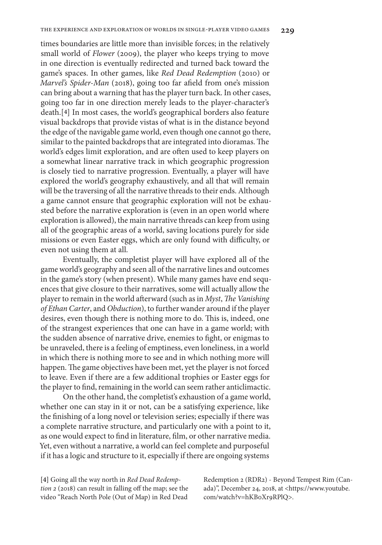times boundaries are little more than invisible forces; in the relatively small world of *Flower* (2009), the player who keeps trying to move in one direction is eventually redirected and turned back toward the game's spaces. In other games, like *Red Dead Redemption* (2010) or *Marvel's Spider-Man* (2018), going too far afield from one's mission can bring about a warning that has the player turn back. In other cases, going too far in one direction merely leads to the player-character's death.[**4**] In most cases, the world's geographical borders also feature visual backdrops that provide vistas of what is in the distance beyond the edge of the navigable game world, even though one cannot go there, similar to the painted backdrops that are integrated into dioramas. The world's edges limit exploration, and are often used to keep players on a somewhat linear narrative track in which geographic progression is closely tied to narrative progression. Eventually, a player will have explored the world's geography exhaustively, and all that will remain will be the traversing of all the narrative threads to their ends. Although a game cannot ensure that geographic exploration will not be exhausted before the narrative exploration is (even in an open world where exploration is allowed), the main narrative threads can keep from using all of the geographic areas of a world, saving locations purely for side missions or even Easter eggs, which are only found with difficulty, or even not using them at all.

Eventually, the completist player will have explored all of the game world's geography and seen all of the narrative lines and outcomes in the game's story (when present). While many games have end sequences that give closure to their narratives, some will actually allow the player to remain in the world afterward (such as in *Myst*, *The Vanishing of Ethan Carter*, and *Obduction*), to further wander around if the player desires, even though there is nothing more to do. This is, indeed, one of the strangest experiences that one can have in a game world; with the sudden absence of narrative drive, enemies to fight, or enigmas to be unraveled, there is a feeling of emptiness, even loneliness, in a world in which there is nothing more to see and in which nothing more will happen. The game objectives have been met, yet the player is not forced to leave. Even if there are a few additional trophies or Easter eggs for the player to find, remaining in the world can seem rather anticlimactic.

On the other hand, the completist's exhaustion of a game world, whether one can stay in it or not, can be a satisfying experience, like the finishing of a long novel or television series; especially if there was a complete narrative structure, and particularly one with a point to it, as one would expect to find in literature, film, or other narrative media. Yet, even without a narrative, a world can feel complete and purposeful if it has a logic and structure to it, especially if there are ongoing systems

**[4]** Going all the way north in *Red Dead Redemption 2* (2018) can result in falling off the map; see the video "Reach North Pole (Out of Map) in Red Dead

Redemption 2 (RDR2) - Beyond Tempest Rim (Canada)", December 24, 2018, at <https://www.youtube. com/watch?v=hKB0Xr9RPlQ>.